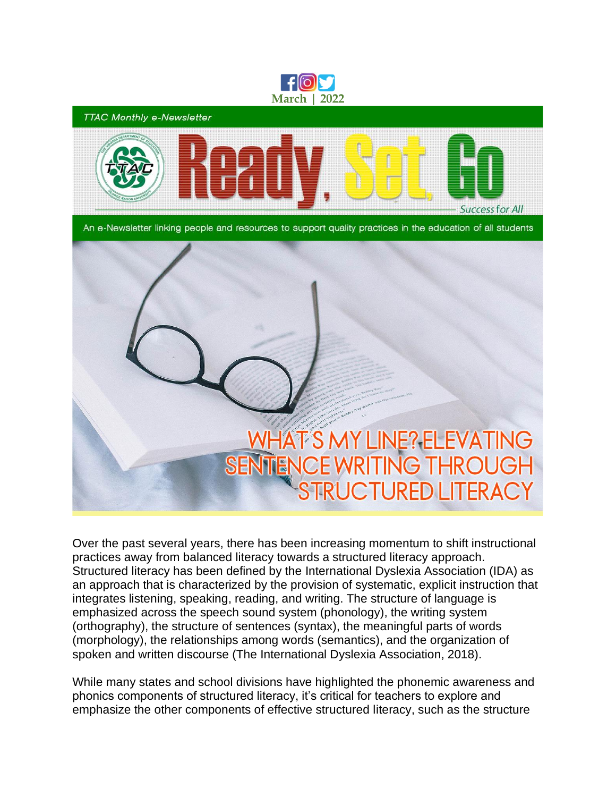

Over the past several years, there has been increasing momentum to shift instructional practices away from balanced literacy towards a structured literacy approach. Structured literacy has been defined by the International Dyslexia Association (IDA) as an approach that is characterized by the provision of systematic, explicit instruction that integrates listening, speaking, reading, and writing. The structure of language is emphasized across the speech sound system (phonology), the writing system (orthography), the structure of sentences (syntax), the meaningful parts of words (morphology), the relationships among words (semantics), and the organization of spoken and written discourse (The International Dyslexia Association, 2018).

While many states and school divisions have highlighted the phonemic awareness and phonics components of structured literacy, it's critical for teachers to explore and emphasize the other components of effective structured literacy, such as the structure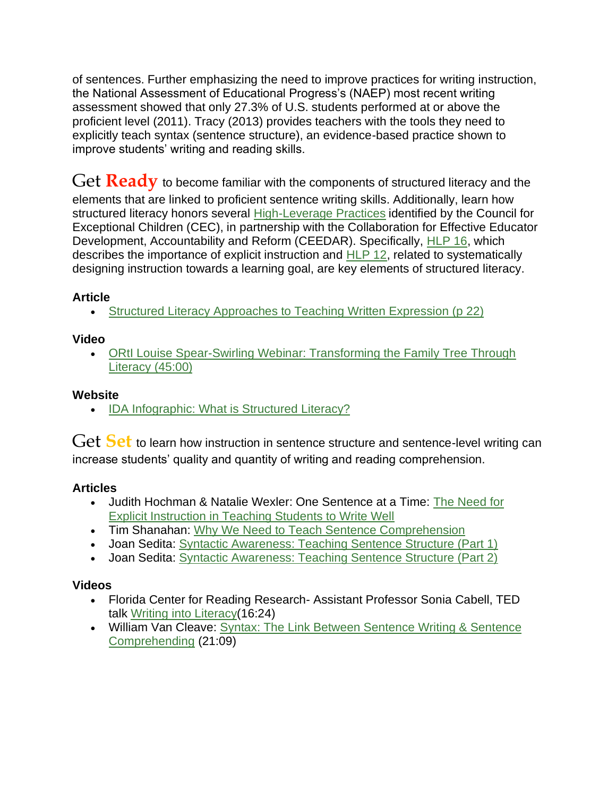of sentences. Further emphasizing the need to improve practices for writing instruction, the National Assessment of Educational Progress's (NAEP) most recent writing assessment showed that only 27.3% of U.S. students performed at or above the proficient level (2011). Tracy (2013) provides teachers with the tools they need to explicitly teach syntax (sentence structure), an evidence-based practice shown to improve students' writing and reading skills.

Get **Ready** to become familiar with the components of structured literacy and the elements that are linked to proficient sentence writing skills. Additionally, learn how structured literacy honors several [High-Leverage Practices](https://highleveragepractices.org/) identified by the Council for Exceptional Children (CEC), in partnership with the Collaboration for Effective Educator Development, Accountability and Reform (CEEDAR). Specifically, [HLP 16,](https://highleveragepractices.org/hlp-16-use-explicit-instruction) which describes the importance of explicit instruction and [HLP 12,](https://highleveragepractices.org/hlp-12-systematically-design-instruction-toward-specific-learning-goal) related to systematically designing instruction towards a learning goal, are key elements of structured literacy.

# **Article**

• [Structured Literacy Approaches to Teaching Written Expression \(p 22\)](https://mydigitalpublication.com/publication/?m=13959&i=607758&p=28&ver=html5)

## **Video**

• ORtI Louise Spear-Swirling Webinar: Transforming the Family Tree Through [Literacy \(45:00\)](https://sites.google.com/ttsd.k12.or.us/2021ortii-fallsymposium-videos/home)

## **Website**

• [IDA Infographic: What is Structured Literacy?](https://ttaconline.org/Resource/JWHaEa5BS77rZ_OXiKSg9w/Resource-what-is-structured-literacy--effective-reading-instruction-for-students-with-dyslexia)

Get Set to learn how instruction in sentence structure and sentence-level writing can increase students' quality and quantity of writing and reading comprehension.

# **Articles**

- Judith Hochman & Natalie Wexler: One Sentence at a Time: [The Need for](https://www.aft.org/ae/summer2017/hochman-wexler)  [Explicit Instruction in Teaching Students to Write Well](https://www.aft.org/ae/summer2017/hochman-wexler)
- Tim Shanahan: [Why We Need to Teach Sentence Comprehension](https://www.readingrockets.org/blogs/shanahan-literacy/why-we-need-teach-sentence-comprehension)
- Joan Sedita: [Syntactic Awareness: Teaching Sentence Structure \(Part 1\)](https://keystoliteracy.com/blog/syntactic-awareness-teaching-sentence-structure-part-1/)
- Joan Sedita: [Syntactic Awareness: Teaching Sentence Structure \(Part 2\)](https://keystoliteracy.com/blog/syntactic-awareness-teaching-sentence-structure-part-2/)

## **Videos**

- Florida Center for Reading Research- Assistant Professor Sonia Cabell, TED talk [Writing into Literacy\(](https://www.youtube.com/watch?v=blNjwxzmCE0)16:24)
- William Van Cleave: [Syntax: The Link Between Sentence Writing & Sentence](https://vimeo.com/502474217?ref=em-share)  [Comprehending](https://vimeo.com/502474217?ref=em-share) (21:09)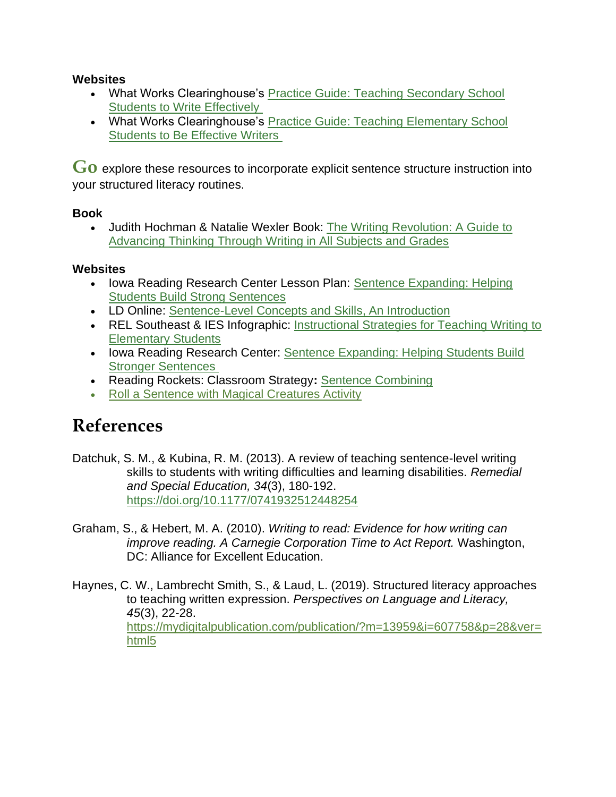## **Websites**

- What Works Clearinghouse's Practice Guide: [Teaching Secondary School](http://ttaconline.org/Resource/JWHaEa5BS76ajPVJ-1EG6g/Resource-practice-guide-teaching-secondary-school-students-to-write-effectively-ies-what-works)  [Students to Write Effectively](http://ttaconline.org/Resource/JWHaEa5BS76ajPVJ-1EG6g/Resource-practice-guide-teaching-secondary-school-students-to-write-effectively-ies-what-works)
- What Works Clearinghouse's [Practice Guide: Teaching Elementary School](http://ttaconline.org/Resource/JWHaEa5BS750Jqr66HsB3w/Resource-practice-guide-teaching-elementary-school-students-to-be-effective-writers-ies-what-works)  [Students to Be Effective Writers](http://ttaconline.org/Resource/JWHaEa5BS750Jqr66HsB3w/Resource-practice-guide-teaching-elementary-school-students-to-be-effective-writers-ies-what-works)

G<sub>O</sub> explore these resources to incorporate explicit sentence structure instruction into your structured literacy routines.

## **Book**

• Judith Hochman & Natalie Wexler Book: [The Writing Revolution: A Guide to](https://www.thewritingrevolution.org/buy-the-book/)  [Advancing Thinking Through Writing in All Subjects and Grades](https://www.thewritingrevolution.org/buy-the-book/)

## **Websites**

- Iowa Reading Research Center Lesson Plan: [Sentence Expanding: Helping](https://iowareadingresearch.org/blog/sentence-expanding)  [Students Build Strong Sentences](https://iowareadingresearch.org/blog/sentence-expanding)
- LD Online: [Sentence-Level Concepts and Skills, An Introduction](http://www.ldonline.org/article/65326/)
- REL Southeast & IES Infographic: Instructional Strategies for Teaching Writing to [Elementary Students](https://ies.ed.gov/ncee/edlabs/infographics/pdf/REL_SE_Instructional_Strategies_for_Teaching_Writing_to_Elementary_Students.pdf)
- Iowa Reading Research Center: Sentence Expanding: Helping Students Build [Stronger Sentences](https://iowareadingresearch.org/blog/sentence-expanding)
- Reading Rockets: Classroom Strategy**:** [Sentence Combining](https://www.readingrockets.org/strategies/sentence_combining)
- [Roll a Sentence with Magical Creatures Activity](https://royalbaloo.com/category/subject/language-arts/roll-a-sentence/)

# **References**

Datchuk, S. M., & Kubina, R. M. (2013). A review of teaching sentence-level writing skills to students with writing difficulties and learning disabilities. *Remedial and Special Education, 34*(3), 180-192. <https://doi.org/10.1177/0741932512448254>

Graham, S., & Hebert, M. A. (2010). *Writing to read: Evidence for how writing can improve reading. A Carnegie Corporation Time to Act Report.* Washington, DC: Alliance for Excellent Education.

Haynes, C. W., Lambrecht Smith, S., & Laud, L. (2019). Structured literacy approaches to teaching written expression. *Perspectives on Language and Literacy, 45*(3), 22-28. [https://mydigitalpublication.com/publication/?m=13959&i=607758&p=28&ver=](https://mydigitalpublication.com/publication/?m=13959&i=607758&p=28&ver=html5) [html5](https://mydigitalpublication.com/publication/?m=13959&i=607758&p=28&ver=html5)